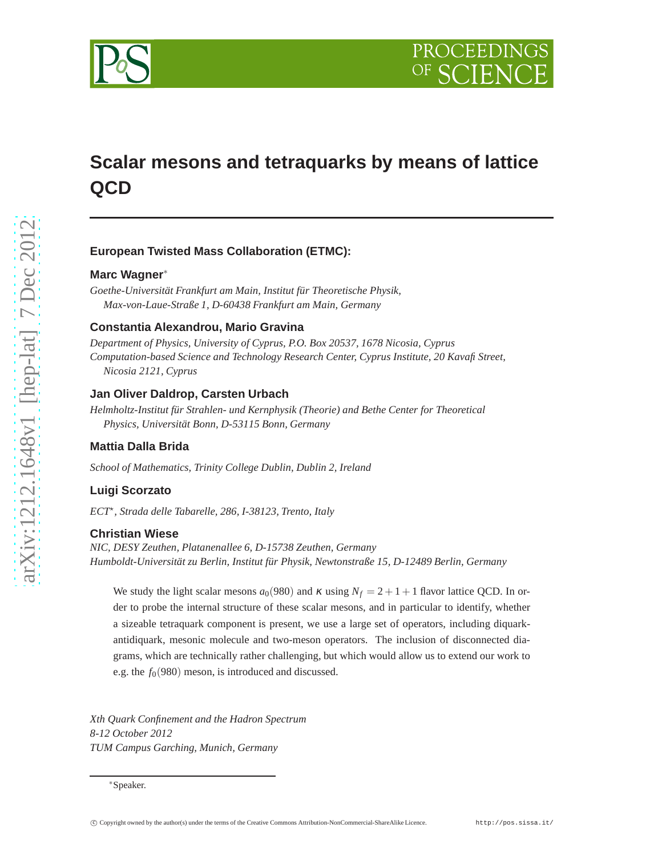

# **Scalar mesons and tetraquarks by means of lattice QCD**

# **European Twisted Mass Collaboration (ETMC):**

## **Marc Wagner**<sup>∗</sup>

*Goethe-Universität Frankfurt am Main, Institut für Theoretische Physik, Max-von-Laue-Straße 1, D-60438 Frankfurt am Main, Germany*

# **Constantia Alexandrou, Mario Gravina**

*Department of Physics, University of Cyprus, P.O. Box 20537, 1678 Nicosia, Cyprus Computation-based Science and Technology Research Center, Cyprus Institute, 20 Kavafi Street, Nicosia 2121, Cyprus*

# **Jan Oliver Daldrop, Carsten Urbach**

*Helmholtz-Institut für Strahlen- und Kernphysik (Theorie) and Bethe Center for Theoretical Physics, Universität Bonn, D-53115 Bonn, Germany*

## **Mattia Dalla Brida**

*School of Mathematics, Trinity College Dublin, Dublin 2, Ireland*

## **Luigi Scorzato**

*ECT*<sup>⋆</sup> *, Strada delle Tabarelle, 286, I-38123, Trento, Italy*

# **Christian Wiese**

*NIC, DESY Zeuthen, Platanenallee 6, D-15738 Zeuthen, Germany Humboldt-Universität zu Berlin, Institut für Physik, Newtonstraße 15, D-12489 Berlin, Germany*

We study the light scalar mesons  $a_0(980)$  and  $\kappa$  using  $N_f = 2 + 1 + 1$  flavor lattice QCD. In order to probe the internal structure of these scalar mesons, and in particular to identify, whether a sizeable tetraquark component is present, we use a large set of operators, including diquarkantidiquark, mesonic molecule and two-meson operators. The inclusion of disconnected diagrams, which are technically rather challenging, but which would allow us to extend our work to e.g. the  $f<sub>0</sub>(980)$  meson, is introduced and discussed.

*Xth Quark Confinement and the Hadron Spectrum 8-12 October 2012 TUM Campus Garching, Munich, Germany*

<sup>∗</sup>Speaker.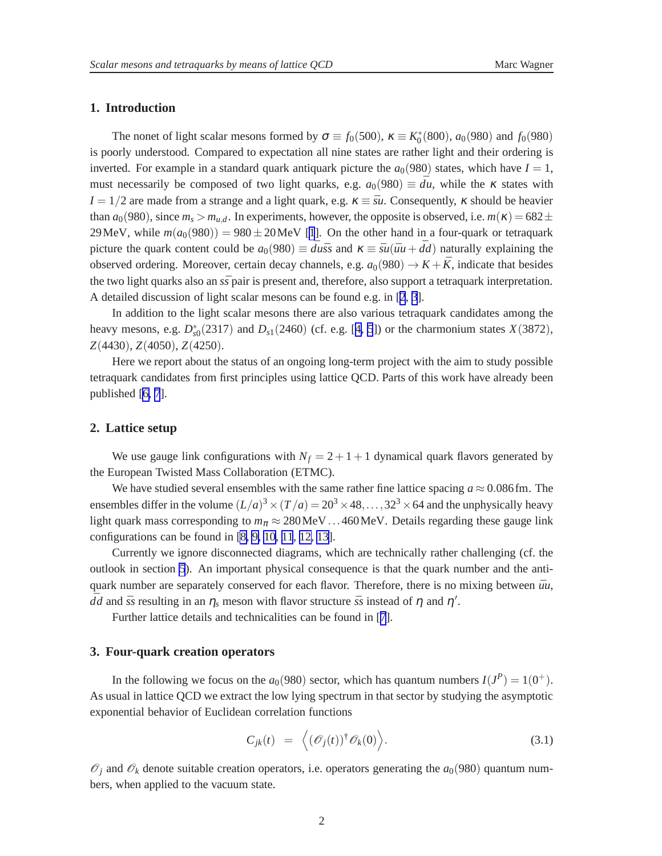# <span id="page-1-0"></span>**1. Introduction**

The nonet of light scalar mesons formed by  $\sigma \equiv f_0(500)$ ,  $\kappa \equiv K_0^*$  $f_0^*(800)$ ,  $a_0(980)$  and  $f_0(980)$ is poorly understood. Compared to expectation all nine states are rather light and their ordering is inverted. For example in a standard quark antiquark picture the  $a_0(980)$  states, which have  $I = 1$ , must necessarily be composed of two light quarks, e.g.  $a_0(980) \equiv d\overline{u}$ , while the  $\kappa$  states with  $I = 1/2$  are made from a strange and a light quark, e.g.  $\kappa \equiv \bar{S}u$ . Consequently,  $\kappa$  should be heavier than  $a_0(980)$ , since  $m_s > m_{u,d}$ . In experiments, however, the opposite is observed, i.e.  $m(\kappa) = 682 \pm$ 29 MeV, while  $m(a_0(980)) = 980 \pm 20$  MeV [\[1](#page-6-0)]. On the other hand in a four-quark or tetraquark picture the quark content could be  $a_0(980) \equiv d\overline{u}\overline{s}$  and  $\kappa \equiv \overline{s}u(\overline{u}u + \overline{d}d)$  naturally explaining the observed ordering. Moreover, certain decay channels, e.g.  $a_0(980) \rightarrow K + \bar{K}$ , indicate that besides the two light quarks also an  $s\bar{s}$  pair is present and, therefore, also support a tetraquark interpretation. A detailed discussion of light scalar mesons can be found e.g. in [[2](#page-6-0), [3](#page-6-0)].

In addition to the light scalar mesons there are also various tetraquark candidates among the heavy mesons, e.g. *D* ∗ *s*0 (2317) and *Ds*1(2460) (cf. e.g. [[4](#page-6-0), [5](#page-6-0)]) or the charmonium states *X*(3872), *Z*(4430), *Z*(4050), *Z*(4250).

Here we report about the status of an ongoing long-term project with the aim to study possible tetraquark candidates from first principles using lattice QCD. Parts of this work have already been published [\[6, 7](#page-6-0)].

# **2. Lattice setup**

We use gauge link configurations with  $N_f = 2 + 1 + 1$  dynamical quark flavors generated by the European Twisted Mass Collaboration (ETMC).

We have studied several ensembles with the same rather fine lattice spacing  $a \approx 0.086$  fm. The ensembles differ in the volume  $(L/a)^3 \times (T/a) = 20^3 \times 48, \ldots, 32^3 \times 64$  and the unphysically heavy light quark mass corresponding to  $m_\pi \approx 280 \text{MeV}$ ...460MeV. Details regarding these gauge link configurations can be found in [\[8, 9, 10](#page-6-0), [11](#page-6-0), [12, 13](#page-6-0)].

Currently we ignore disconnected diagrams, which are technically rather challenging (cf. the outlook in section [5](#page-4-0)). An important physical consequence is that the quark number and the antiquark number are separately conserved for each flavor. Therefore, there is no mixing between  $\bar{u}u$ ,  $\bar{d}d$  and  $\bar{s}s$  resulting in an  $\eta_s$  meson with flavor structure  $\bar{s}s$  instead of  $\eta$  and  $\eta'$ .

Further lattice details and technicalities can be found in [[7](#page-6-0)].

# **3. Four-quark creation operators**

In the following we focus on the  $a_0(980)$  sector, which has quantum numbers  $I(J^P) = 1(0^+)$ . As usual in lattice QCD we extract the low lying spectrum in that sector by studying the asymptotic exponential behavior of Euclidean correlation functions

$$
C_{jk}(t) = \langle (\mathcal{O}_j(t))^\dagger \mathcal{O}_k(0) \rangle.
$$
 (3.1)

 $\mathscr{O}_i$  and  $\mathscr{O}_k$  denote suitable creation operators, i.e. operators generating the  $a_0(980)$  quantum numbers, when applied to the vacuum state.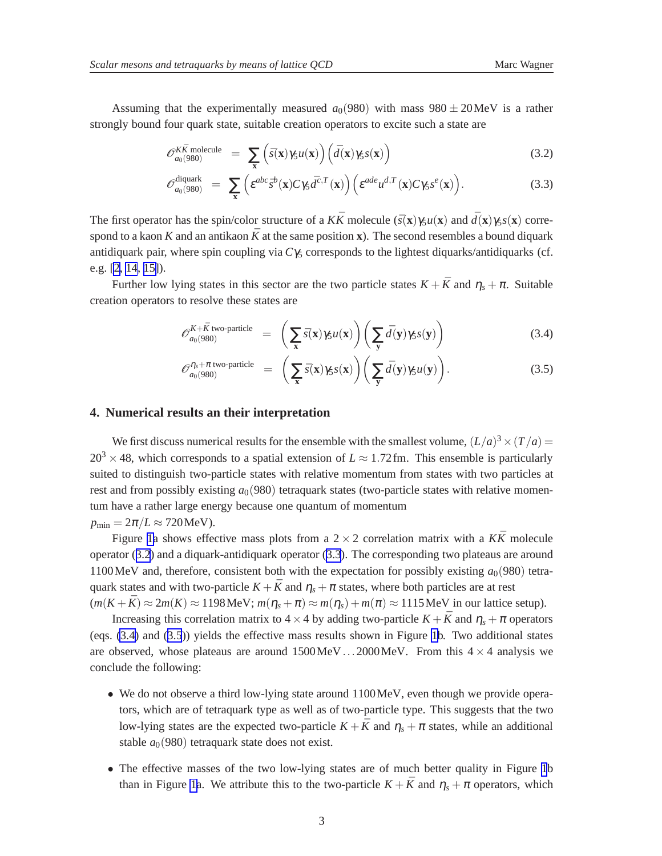<span id="page-2-0"></span>Assuming that the experimentally measured  $a_0(980)$  with mass  $980 \pm 20$ MeV is a rather strongly bound four quark state, suitable creation operators to excite such a state are

$$
\mathscr{O}_{a_0(980)}^{K\bar{K} \text{ molecule}} = \sum_{\mathbf{x}} \left( \bar{s}(\mathbf{x}) \gamma_5 u(\mathbf{x}) \right) \left( \bar{d}(\mathbf{x}) \gamma_5 s(\mathbf{x}) \right) \tag{3.2}
$$

$$
\mathscr{O}_{a_0(980)}^{\text{diquark}} = \sum_{\mathbf{x}} \left( \varepsilon^{abc} \bar{s}^b(\mathbf{x}) C \gamma_5 \bar{d}^{c,T}(\mathbf{x}) \right) \left( \varepsilon^{ade} u^{d,T}(\mathbf{x}) C \gamma_5 s^e(\mathbf{x}) \right). \tag{3.3}
$$

The first operator has the spin/color structure of a  $K\bar{K}$  molecule  $(\bar{s}(\mathbf{x})\gamma_5 u(\mathbf{x}))$  and  $\bar{d}(\mathbf{x})\gamma_5 s(\mathbf{x}))$  correspond to a kaon K and an antikaon  $\bar{K}$  at the same position **x**). The second resembles a bound diquark antidiquark pair, where spin coupling via  $C\gamma_5$  corresponds to the lightest diquarks/antidiquarks (cf. e.g. [\[2, 14](#page-6-0), [15\]](#page-6-0)).

Further low lying states in this sector are the two particle states  $K + \bar{K}$  and  $\eta_s + \pi$ . Suitable creation operators to resolve these states are

$$
\mathscr{O}_{a_0(980)}^{K+\bar{K} \text{ two-particle}} = \left(\sum_{\mathbf{x}} \bar{s}(\mathbf{x}) \gamma_5 u(\mathbf{x})\right) \left(\sum_{\mathbf{y}} \bar{d}(\mathbf{y}) \gamma_5 s(\mathbf{y})\right) \tag{3.4}
$$

$$
\mathcal{O}_{a_0(980)}^{\eta_s + \pi \text{ two-particle}} = \left( \sum_{\mathbf{x}} \bar{s}(\mathbf{x}) \gamma_5 s(\mathbf{x}) \right) \left( \sum_{\mathbf{y}} \bar{d}(\mathbf{y}) \gamma_5 u(\mathbf{y}) \right). \tag{3.5}
$$

## **4. Numerical results an their interpretation**

We first discuss numerical results for the ensemble with the smallest volume,  $(L/a)^3 \times (T/a) =$  $20^3 \times 48$ , which corresponds to a spatial extension of  $L \approx 1.72$  fm. This ensemble is particularly suited to distinguish two-particle states with relative momentum from states with two particles at rest and from possibly existing  $a<sub>0</sub>(980)$  tetraquark states (two-particle states with relative momentum have a rather large energy because one quantum of momentum  $p_{\min} = 2\pi/L \approx 720 \text{MeV}$ .

Figure [1a](#page-3-0) shows effective mass plots from a  $2 \times 2$  correlation matrix with a  $K\bar{K}$  molecule operator (3.2) and a diquark-antidiquark operator (3.3). The corresponding two plateaus are around 1100 MeV and, therefore, consistent both with the expectation for possibly existing  $a_0(980)$  tetraquark states and with two-particle  $K + \bar{K}$  and  $\eta_s + \pi$  states, where both particles are at rest

 $(m(K+\bar{K}) \approx 2m(K) \approx 1198 \text{ MeV}; m(\eta_s+\pi) \approx m(\eta_s) + m(\pi) \approx 1115 \text{ MeV}$  in our lattice setup).

Increasing this correlation matrix to  $4 \times 4$  by adding two-particle  $K + \bar{K}$  and  $\eta_s + \pi$  operators (eqs. (3.4) and (3.5)) yields the effective mass results shown in Figure [1b](#page-3-0). Two additional states are observed, whose plateaus are around  $1500 \,\text{MeV}$ ...2000 MeV. From this  $4 \times 4$  analysis we conclude the following:

- We do not observe a third low-lying state around 1100MeV, even though we provide operators, which are of tetraquark type as well as of two-particle type. This suggests that the two low-lying states are the expected two-particle  $K + \bar{K}$  and  $\eta_s + \pi$  states, while an additional stable  $a_0(980)$  tetraquark state does not exist.
- The effective masses of the two low-lying states are of much better quality in Figure [1](#page-3-0)b than in Figure [1a](#page-3-0). We attribute this to the two-particle  $K + \bar{K}$  and  $\eta_s + \pi$  operators, which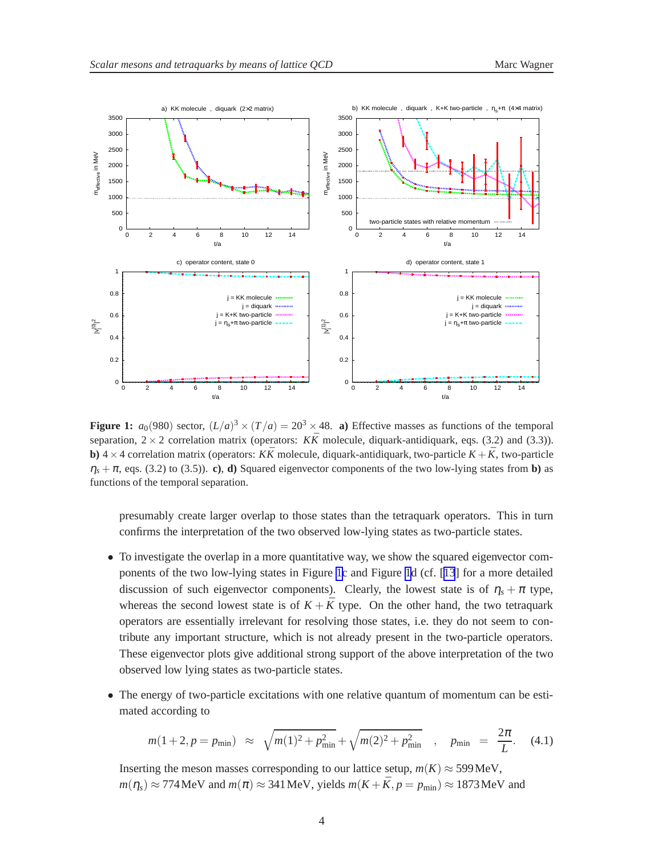<span id="page-3-0"></span>

**Figure 1:**  $a_0(980)$  sector,  $(L/a)^3 \times (T/a) = 20^3 \times 48$ . **a**) Effective masses as functions of the temporal separation,  $2 \times 2$  correlation matrix (operators: *KK* molecule, diquark-antidiquark, eqs. (3.2) and (3.3)). **b**)  $4 \times 4$  correlation matrix (operators: *KK* molecule, diquark-antidiquark, two-particle  $K + K$ , two-particle  $\eta_s + \pi$ , eqs. (3.2) to (3.5)). **c), d)** Squared eigenvector components of the two low-lying states from **b**) as functions of the temporal separation.

presumably create larger overlap to those states than the tetraquark operators. This in turn confirms the interpretation of the two observed low-lying states as two-particle states.

- To investigate the overlap in a more quantitative way, we show the squared eigenvector components of the two low-lying states in Figure 1c and Figure 1d (cf. [[13](#page-6-0)] for a more detailed discussion of such eigenvector components). Clearly, the lowest state is of  $\eta_s + \pi$  type, whereas the second lowest state is of  $K + \bar{K}$  type. On the other hand, the two tetraquark operators are essentially irrelevant for resolving those states, i.e. they do not seem to contribute any important structure, which is not already present in the two-particle operators. These eigenvector plots give additional strong support of the above interpretation of the two observed low lying states as two-particle states.
- The energy of two-particle excitations with one relative quantum of momentum can be estimated according to

$$
m(1+2, p = p_{\min}) \approx \sqrt{m(1)^2 + p_{\min}^2} + \sqrt{m(2)^2 + p_{\min}^2} \quad , \quad p_{\min} = \frac{2\pi}{L}.
$$
 (4.1)

Inserting the meson masses corresponding to our lattice setup,  $m(K) \approx 599 \text{MeV}$ ,  $m(\eta_s) \approx 774 \text{ MeV}$  and  $m(\pi) \approx 341 \text{ MeV}$ , yields  $m(K + \bar{K}, p = p_{\text{min}}) \approx 1873 \text{ MeV}$  and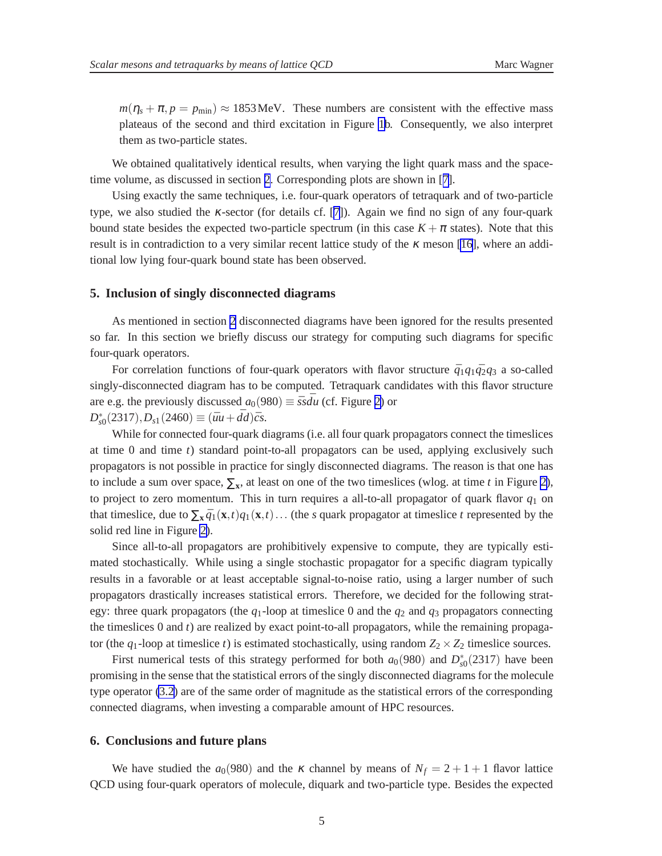<span id="page-4-0"></span> $m(\eta_s + \pi, p = p_{\text{min}}) \approx 1853 \text{ MeV}$ . These numbers are consistent with the effective mass plateaus of the second and third excitation in Figure [1b](#page-3-0). Consequently, we also interpret them as two-particle states.

We obtained qualitatively identical results, when varying the light quark mass and the spacetime volume, as discussed in section [2](#page-1-0). Corresponding plots are shown in [[7\]](#page-6-0).

Using exactly the same techniques, i.e. four-quark operators of tetraquark and of two-particle type, we also studied the  $\kappa$ -sector (for details cf. [[7](#page-6-0)]). Again we find no sign of any four-quark bound state besides the expected two-particle spectrum (in this case  $K + \pi$  states). Note that this result is in contradiction to a very similar recent lattice study of the  $\kappa$  meson [\[16](#page-6-0)], where an additional low lying four-quark bound state has been observed.

#### **5. Inclusion of singly disconnected diagrams**

As mentioned in section [2](#page-1-0) disconnected diagrams have been ignored for the results presented so far. In this section we briefly discuss our strategy for computing such diagrams for specific four-quark operators.

For correlation functions of four-quark operators with flavor structure  $\bar{q}_1q_1\bar{q}_2q_3$  a so-called singly-disconnected diagram has to be computed. Tetraquark candidates with this flavor structure are e.g. the previously discussed  $a_0(980) \equiv \bar{s} s \bar{d} u$  (cf. Figure [2\)](#page-5-0) or *D* ∗  $S_{s0}(2317), D_{s1}(2460) \equiv (\bar{u}u + \bar{d}d)\bar{c}s.$ 

While for connected four-quark diagrams (i.e. all four quark propagators connect the timeslices at time 0 and time *t*) standard point-to-all propagators can be used, applying exclusively such propagators is not possible in practice for singly disconnected diagrams. The reason is that one has to include a sum over space,  $\Sigma_{\mathbf{x}}$ , at least on one of the two timeslices (wlog. at time *t* in Figure [2\)](#page-5-0), to project to zero momentum. This in turn requires a all-to-all propagator of quark flavor  $q_1$  on that timeslice, due to  $\sum_{x} \bar{q}_1(x,t)q_1(x,t) \dots$  (the *s* quark propagator at timeslice *t* represented by the solid red line in Figure [2\)](#page-5-0).

Since all-to-all propagators are prohibitively expensive to compute, they are typically estimated stochastically. While using a single stochastic propagator for a specific diagram typically results in a favorable or at least acceptable signal-to-noise ratio, using a larger number of such propagators drastically increases statistical errors. Therefore, we decided for the following strategy: three quark propagators (the  $q_1$ -loop at timeslice 0 and the  $q_2$  and  $q_3$  propagators connecting the timeslices 0 and *t*) are realized by exact point-to-all propagators, while the remaining propagator (the  $q_1$ -loop at timeslice *t*) is estimated stochastically, using random  $Z_2 \times Z_2$  timeslice sources.

First numerical tests of this strategy performed for both  $a_0(980)$  and  $D_{st}^*$  $\frac{1}{s0}(2317)$  have been promising in the sense that the statistical errors of the singly disconnected diagrams for the molecule type operator [\(3.2\)](#page-2-0) are of the same order of magnitude as the statistical errors of the corresponding connected diagrams, when investing a comparable amount of HPC resources.

#### **6. Conclusions and future plans**

We have studied the  $a_0(980)$  and the  $\kappa$  channel by means of  $N_f = 2 + 1 + 1$  flavor lattice QCD using four-quark operators of molecule, diquark and two-particle type. Besides the expected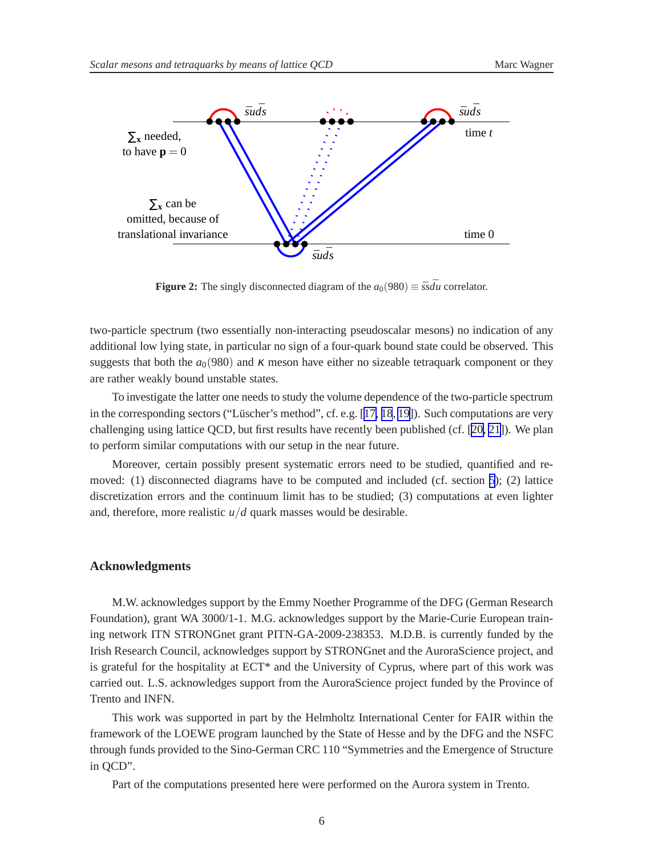<span id="page-5-0"></span>

**Figure 2:** The singly disconnected diagram of the  $a_0(980) \equiv \bar{s} s \bar{d} u$  correlator.

two-particle spectrum (two essentially non-interacting pseudoscalar mesons) no indication of any additional low lying state, in particular no sign of a four-quark bound state could be observed. This suggests that both the  $a_0(980)$  and  $\kappa$  meson have either no sizeable tetraquark component or they are rather weakly bound unstable states.

To investigate the latter one needs to study the volume dependence of the two-particle spectrum in the corresponding sectors ("Lüscher's method", cf. e.g. [[17, 18](#page-6-0), [19](#page-6-0)]). Such computations are very challenging using lattice QCD, but first results have recently been published (cf. [\[20, 21](#page-7-0)]). We plan to perform similar computations with our setup in the near future.

Moreover, certain possibly present systematic errors need to be studied, quantified and removed: (1) disconnected diagrams have to be computed and included (cf. section [5\)](#page-4-0); (2) lattice discretization errors and the continuum limit has to be studied; (3) computations at even lighter and, therefore, more realistic *u*/*d* quark masses would be desirable.

#### **Acknowledgments**

M.W. acknowledges support by the Emmy Noether Programme of the DFG (German Research Foundation), grant WA 3000/1-1. M.G. acknowledges support by the Marie-Curie European training network ITN STRONGnet grant PITN-GA-2009-238353. M.D.B. is currently funded by the Irish Research Council, acknowledges support by STRONGnet and the AuroraScience project, and is grateful for the hospitality at  $ECT^*$  and the University of Cyprus, where part of this work was carried out. L.S. acknowledges support from the AuroraScience project funded by the Province of Trento and INFN.

This work was supported in part by the Helmholtz International Center for FAIR within the framework of the LOEWE program launched by the State of Hesse and by the DFG and the NSFC through funds provided to the Sino-German CRC 110 "Symmetries and the Emergence of Structure in QCD".

Part of the computations presented here were performed on the Aurora system in Trento.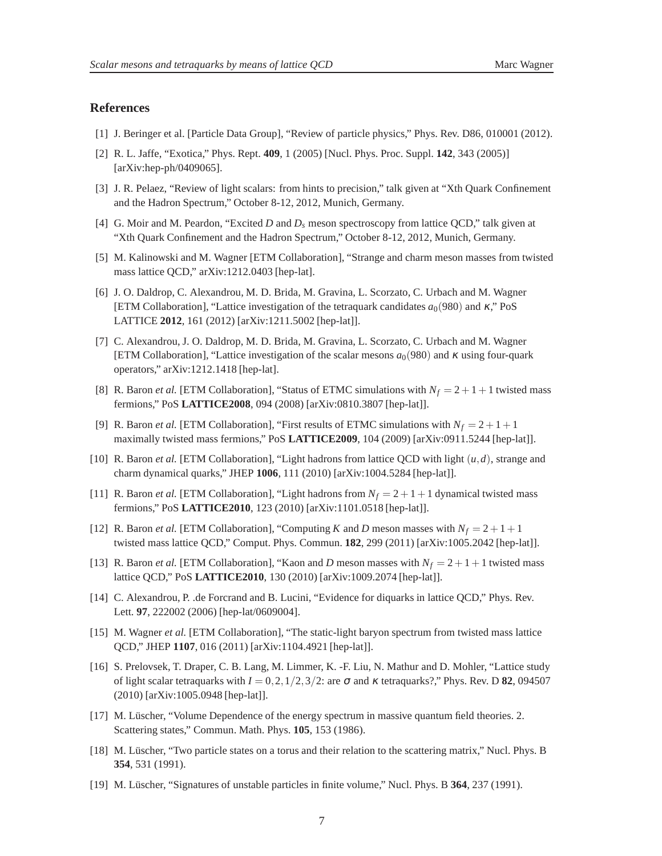# <span id="page-6-0"></span>**References**

- [1] J. Beringer et al. [Particle Data Group], "Review of particle physics," Phys. Rev. D86, 010001 (2012).
- [2] R. L. Jaffe, "Exotica," Phys. Rept. **409**, 1 (2005) [Nucl. Phys. Proc. Suppl. **142**, 343 (2005)] [arXiv:hep-ph/0409065].
- [3] J. R. Pelaez, "Review of light scalars: from hints to precision," talk given at "Xth Quark Confinement and the Hadron Spectrum," October 8-12, 2012, Munich, Germany.
- [4] G. Moir and M. Peardon, "Excited *D* and *D<sup>s</sup>* meson spectroscopy from lattice QCD," talk given at "Xth Quark Confinement and the Hadron Spectrum," October 8-12, 2012, Munich, Germany.
- [5] M. Kalinowski and M. Wagner [ETM Collaboration], "Strange and charm meson masses from twisted mass lattice QCD," arXiv:1212.0403 [hep-lat].
- [6] J. O. Daldrop, C. Alexandrou, M. D. Brida, M. Gravina, L. Scorzato, C. Urbach and M. Wagner [ETM Collaboration], "Lattice investigation of the tetraquark candidates  $a_0(980)$  and κ," PoS LATTICE **2012**, 161 (2012) [arXiv:1211.5002 [hep-lat]].
- [7] C. Alexandrou, J. O. Daldrop, M. D. Brida, M. Gravina, L. Scorzato, C. Urbach and M. Wagner [ETM Collaboration], "Lattice investigation of the scalar mesons  $a_0(980)$  and  $\kappa$  using four-quark operators," arXiv:1212.1418 [hep-lat].
- [8] R. Baron *et al.* [ETM Collaboration], "Status of ETMC simulations with  $N_f = 2 + 1 + 1$  twisted mass fermions," PoS **LATTICE2008**, 094 (2008) [arXiv:0810.3807 [hep-lat]].
- [9] R. Baron *et al.* [ETM Collaboration], "First results of ETMC simulations with  $N_f = 2 + 1 + 1$ maximally twisted mass fermions," PoS **LATTICE2009**, 104 (2009) [arXiv:0911.5244 [hep-lat]].
- [10] R. Baron *et al.* [ETM Collaboration], "Light hadrons from lattice QCD with light (*u*,*d*), strange and charm dynamical quarks," JHEP **1006**, 111 (2010) [arXiv:1004.5284 [hep-lat]].
- [11] R. Baron *et al.* [ETM Collaboration], "Light hadrons from  $N_f = 2 + 1 + 1$  dynamical twisted mass fermions," PoS **LATTICE2010**, 123 (2010) [arXiv:1101.0518 [hep-lat]].
- [12] R. Baron *et al.* [ETM Collaboration], "Computing *K* and *D* meson masses with  $N_f = 2 + 1 + 1$ twisted mass lattice QCD," Comput. Phys. Commun. **182**, 299 (2011) [arXiv:1005.2042 [hep-lat]].
- [13] R. Baron *et al.* [ETM Collaboration], "Kaon and *D* meson masses with  $N_f = 2 + 1 + 1$  twisted mass lattice QCD," PoS **LATTICE2010**, 130 (2010) [arXiv:1009.2074 [hep-lat]].
- [14] C. Alexandrou, P. .de Forcrand and B. Lucini, "Evidence for diquarks in lattice QCD," Phys. Rev. Lett. **97**, 222002 (2006) [hep-lat/0609004].
- [15] M. Wagner et al. [ETM Collaboration], "The static-light baryon spectrum from twisted mass lattice QCD," JHEP **1107**, 016 (2011) [arXiv:1104.4921 [hep-lat]].
- [16] S. Prelovsek, T. Draper, C. B. Lang, M. Limmer, K. -F. Liu, N. Mathur and D. Mohler, "Lattice study of light scalar tetraquarks with  $I = 0, 2, 1/2, 3/2$ : are  $\sigma$  and  $\kappa$  tetraquarks?," Phys. Rev. D **82**, 094507 (2010) [arXiv:1005.0948 [hep-lat]].
- [17] M. Lüscher, "Volume Dependence of the energy spectrum in massive quantum field theories. 2. Scattering states," Commun. Math. Phys. **105**, 153 (1986).
- [18] M. Lüscher, "Two particle states on a torus and their relation to the scattering matrix," Nucl. Phys. B **354**, 531 (1991).
- [19] M. Lüscher, "Signatures of unstable particles in finite volume," Nucl. Phys. B **364**, 237 (1991).